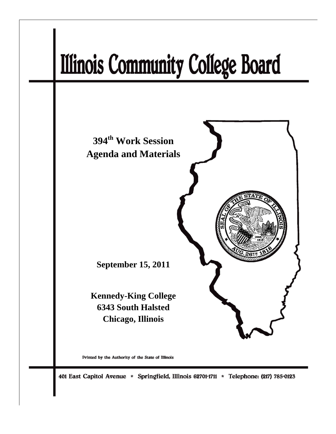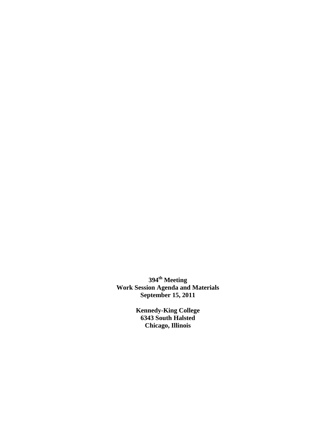**394th Meeting Work Session Agenda and Materials September 15, 2011** 

> **Kennedy-King College 6343 South Halsted Chicago, Illinois**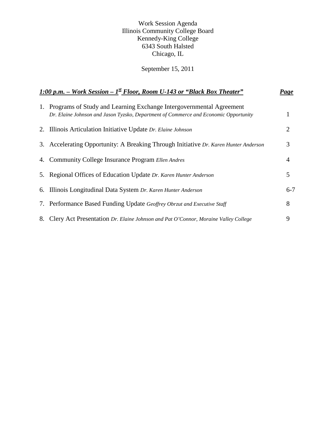# Work Session Agenda Illinois Community College Board Kennedy-King College 6343 South Halsted Chicago, IL

# September 15, 2011

| 1:00 p.m. – Work Session – $I^{\underline{st}}$ Floor, Room U-143 or "Black Box Theater" |                                                                                                                                                                | Page    |
|------------------------------------------------------------------------------------------|----------------------------------------------------------------------------------------------------------------------------------------------------------------|---------|
|                                                                                          | 1. Programs of Study and Learning Exchange Intergovernmental Agreement<br>Dr. Elaine Johnson and Jason Tyzsko, Department of Commerce and Economic Opportunity |         |
|                                                                                          | 2. Illinois Articulation Initiative Update Dr. Elaine Johnson                                                                                                  | 2       |
|                                                                                          | 3. Accelerating Opportunity: A Breaking Through Initiative Dr. Karen Hunter Anderson                                                                           | 3       |
|                                                                                          | 4. Community College Insurance Program Ellen Andres                                                                                                            | 4       |
|                                                                                          | 5. Regional Offices of Education Update Dr. Karen Hunter Anderson                                                                                              | 5       |
|                                                                                          | 6. Illinois Longitudinal Data System Dr. Karen Hunter Anderson                                                                                                 | $6 - 7$ |
|                                                                                          | 7. Performance Based Funding Update Geoffrey Obrzut and Executive Staff                                                                                        | 8       |
|                                                                                          | 8. Clery Act Presentation Dr. Elaine Johnson and Pat O'Connor, Moraine Valley College                                                                          | 9       |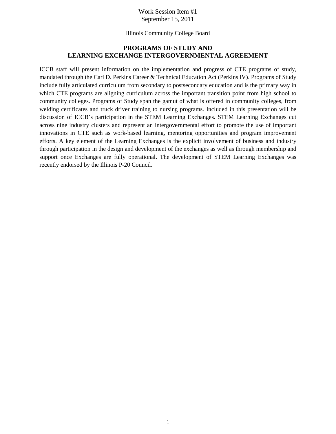#### Work Session Item #1 September 15, 2011

Illinois Community College Board

## **PROGRAMS OF STUDY AND LEARNING EXCHANGE INTERGOVERNMENTAL AGREEMENT**

ICCB staff will present information on the implementation and progress of CTE programs of study, mandated through the Carl D. Perkins Career & Technical Education Act (Perkins IV). Programs of Study include fully articulated curriculum from secondary to postsecondary education and is the primary way in which CTE programs are aligning curriculum across the important transition point from high school to community colleges. Programs of Study span the gamut of what is offered in community colleges, from welding certificates and truck driver training to nursing programs. Included in this presentation will be discussion of ICCB's participation in the STEM Learning Exchanges. STEM Learning Exchanges cut across nine industry clusters and represent an intergovernmental effort to promote the use of important innovations in CTE such as work-based learning, mentoring opportunities and program improvement efforts. A key element of the Learning Exchanges is the explicit involvement of business and industry through participation in the design and development of the exchanges as well as through membership and support once Exchanges are fully operational. The development of STEM Learning Exchanges was recently endorsed by the Illinois P-20 Council.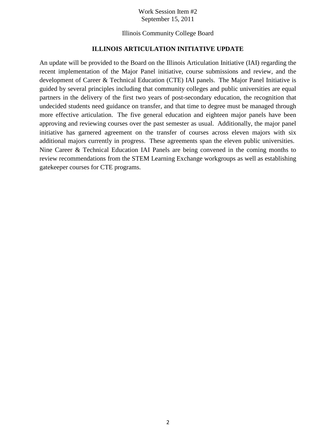#### Work Session Item #2 September 15, 2011

Illinois Community College Board

# **ILLINOIS ARTICULATION INITIATIVE UPDATE**

An update will be provided to the Board on the Illinois Articulation Initiative (IAI) regarding the recent implementation of the Major Panel initiative, course submissions and review, and the development of Career & Technical Education (CTE) IAI panels. The Major Panel Initiative is guided by several principles including that community colleges and public universities are equal partners in the delivery of the first two years of post-secondary education, the recognition that undecided students need guidance on transfer, and that time to degree must be managed through more effective articulation. The five general education and eighteen major panels have been approving and reviewing courses over the past semester as usual. Additionally, the major panel initiative has garnered agreement on the transfer of courses across eleven majors with six additional majors currently in progress. These agreements span the eleven public universities. Nine Career & Technical Education IAI Panels are being convened in the coming months to review recommendations from the STEM Learning Exchange workgroups as well as establishing gatekeeper courses for CTE programs.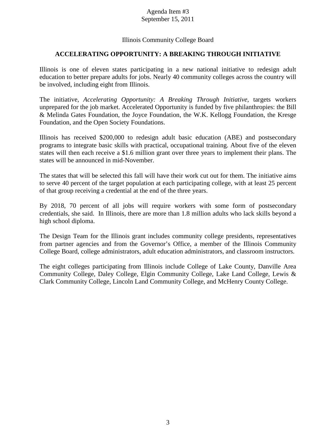#### Agenda Item #3 September 15, 2011

# Illinois Community College Board

# **ACCELERATING OPPORTUNITY: A BREAKING THROUGH INITIATIVE**

Illinois is one of eleven states participating in a new national initiative to redesign adult education to better prepare adults for jobs. Nearly 40 community colleges across the country will be involved, including eight from Illinois.

The initiative, *Accelerating Opportunity: A Breaking Through Initiative*, targets workers unprepared for the job market. Accelerated Opportunity is funded by five philanthropies: the Bill & Melinda Gates Foundation, the Joyce Foundation, the W.K. Kellogg Foundation, the Kresge Foundation, and the Open Society Foundations.

Illinois has received \$200,000 to redesign adult basic education (ABE) and postsecondary programs to integrate basic skills with practical, occupational training. About five of the eleven states will then each receive a \$1.6 million grant over three years to implement their plans. The states will be announced in mid-November.

The states that will be selected this fall will have their work cut out for them. The initiative aims to serve 40 percent of the target population at each participating college, with at least 25 percent of that group receiving a credential at the end of the three years.

By 2018, 70 percent of all jobs will require workers with some form of postsecondary credentials, she said. In Illinois, there are more than 1.8 million adults who lack skills beyond a high school diploma.

The Design Team for the Illinois grant includes community college presidents, representatives from partner agencies and from the Governor's Office, a member of the Illinois Community College Board, college administrators, adult education administrators, and classroom instructors.

The eight colleges participating from Illinois include College of Lake County, Danville Area Community College, Daley College, Elgin Community College, Lake Land College, Lewis & Clark Community College, Lincoln Land Community College, and McHenry County College.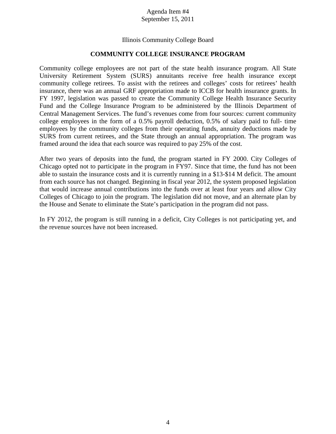#### Agenda Item #4 September 15, 2011

## Illinois Community College Board

#### **COMMUNITY COLLEGE INSURANCE PROGRAM**

Community college employees are not part of the state health insurance program. All State University Retirement System (SURS) annuitants receive free health insurance except community college retirees. To assist with the retirees and colleges' costs for retirees' health insurance, there was an annual GRF appropriation made to ICCB for health insurance grants. In FY 1997, legislation was passed to create the Community College Health Insurance Security Fund and the College Insurance Program to be administered by the Illinois Department of Central Management Services. The fund's revenues come from four sources: current community college employees in the form of a 0.5% payroll deduction, 0.5% of salary paid to full- time employees by the community colleges from their operating funds, annuity deductions made by SURS from current retirees, and the State through an annual appropriation. The program was framed around the idea that each source was required to pay 25% of the cost.

After two years of deposits into the fund, the program started in FY 2000. City Colleges of Chicago opted not to participate in the program in FY97. Since that time, the fund has not been able to sustain the insurance costs and it is currently running in a \$13-\$14 M deficit. The amount from each source has not changed. Beginning in fiscal year 2012, the system proposed legislation that would increase annual contributions into the funds over at least four years and allow City Colleges of Chicago to join the program. The legislation did not move, and an alternate plan by the House and Senate to eliminate the State's participation in the program did not pass.

In FY 2012, the program is still running in a deficit, City Colleges is not participating yet, and the revenue sources have not been increased.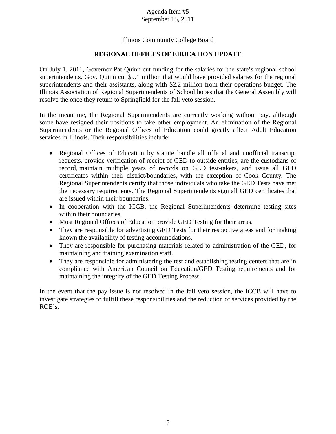#### Agenda Item #5 September 15, 2011

# Illinois Community College Board

# **REGIONAL OFFICES OF EDUCATION UPDATE**

On July 1, 2011, Governor Pat Quinn cut funding for the salaries for the state's regional school superintendents. Gov. Quinn cut \$9.1 million that would have provided salaries for the regional superintendents and their assistants, along with \$2.2 million from their operations budget. The Illinois Association of Regional Superintendents of School hopes that the General Assembly will resolve the once they return to Springfield for the fall veto session.

In the meantime, the Regional Superintendents are currently working without pay, although some have resigned their positions to take other employment. An elimination of the Regional Superintendents or the Regional Offices of Education could greatly affect Adult Education services in Illinois. Their responsibilities include:

- Regional Offices of Education by statute handle all official and unofficial transcript requests, provide verification of receipt of GED to outside entities, are the custodians of record, maintain multiple years of records on GED test-takers, and issue all GED certificates within their district/boundaries, with the exception of Cook County. The Regional Superintendents certify that those individuals who take the GED Tests have met the necessary requirements. The Regional Superintendents sign all GED certificates that are issued within their boundaries.
- In cooperation with the ICCB, the Regional Superintendents determine testing sites within their boundaries.
- Most Regional Offices of Education provide GED Testing for their areas.
- They are responsible for advertising GED Tests for their respective areas and for making known the availability of testing accommodations.
- They are responsible for purchasing materials related to administration of the GED, for maintaining and training examination staff.
- They are responsible for administering the test and establishing testing centers that are in compliance with American Council on Education/GED Testing requirements and for maintaining the integrity of the GED Testing Process.

In the event that the pay issue is not resolved in the fall veto session, the ICCB will have to investigate strategies to fulfill these responsibilities and the reduction of services provided by the ROE's.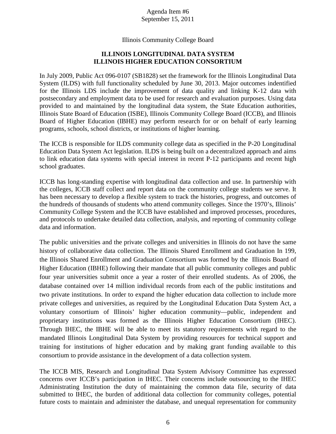### Agenda Item #6 September 15, 2011

#### Illinois Community College Board

# **ILLINOIS LONGITUDINAL DATA SYSTEM ILLINOIS HIGHER EDUCATION CONSORTIUM**

In July 2009, Public Act 096-0107 (SB1828) set the framework for the Illinois Longitudinal Data System (ILDS) with full functionality scheduled by June 30, 2013. Major outcomes indentified for the Illinois LDS include the improvement of data quality and linking K-12 data with postsecondary and employment data to be used for research and evaluation purposes. Using data provided to and maintained by the longitudinal data system, the State Education authorities, Illinois State Board of Education (ISBE), Illinois Community College Board (ICCB), and Illinois Board of Higher Education (IBHE) may perform research for or on behalf of early learning programs, schools, school districts, or institutions of higher learning.

The ICCB is responsible for ILDS community college data as specified in the P-20 Longitudinal Education Data System Act legislation. ILDS is being built on a decentralized approach and aims to link education data systems with special interest in recent P-12 participants and recent high school graduates.

ICCB has long-standing expertise with longitudinal data collection and use. In partnership with the colleges, ICCB staff collect and report data on the community college students we serve. It has been necessary to develop a flexible system to track the histories, progress, and outcomes of the hundreds of thousands of students who attend community colleges. Since the 1970's, Illinois' Community College System and the ICCB have established and improved processes, procedures, and protocols to undertake detailed data collection, analysis, and reporting of community college data and information.

The public universities and the private colleges and universities in Illinois do not have the same history of collaborative data collection. The Illinois Shared Enrollment and Graduation In 199, the Illinois Shared Enrollment and Graduation Consortium was formed by the Illinois Board of Higher Education (IBHE) following their mandate that all public community colleges and public four year universities submit once a year a roster of their enrolled students. As of 2006, the database contained over 14 million individual records from each of the public institutions and two private institutions. In order to expand the higher education data collection to include more private colleges and universities, as required by the Longitudinal Education Data System Act, a voluntary consortium of Illinois' higher education community—public, independent and proprietary institutions was formed as the Illinois Higher Education Consortium (IHEC). Through IHEC, the IBHE will be able to meet its statutory requirements with regard to the mandated Illinois Longitudinal Data System by providing resources for technical support and training for institutions of higher education and by making grant funding available to this consortium to provide assistance in the development of a data collection system.

The ICCB MIS, Research and Longitudinal Data System Advisory Committee has expressed concerns over ICCB's participation in IHEC. Their concerns include outsourcing to the IHEC Administrating Institution the duty of maintaining the common data file, security of data submitted to IHEC, the burden of additional data collection for community colleges, potential future costs to maintain and administer the database, and unequal representation for community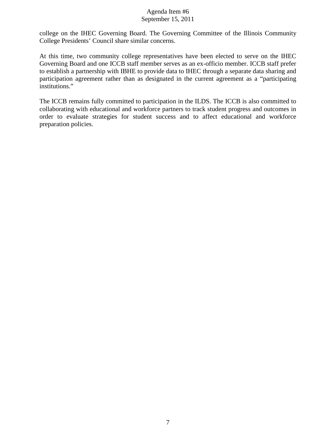#### Agenda Item #6 September 15, 2011

college on the IHEC Governing Board. The Governing Committee of the Illinois Community College Presidents' Council share similar concerns.

At this time, two community college representatives have been elected to serve on the IHEC Governing Board and one ICCB staff member serves as an ex-officio member. ICCB staff prefer to establish a partnership with IBHE to provide data to IHEC through a separate data sharing and participation agreement rather than as designated in the current agreement as a "participating institutions."

The ICCB remains fully committed to participation in the ILDS. The ICCB is also committed to collaborating with educational and workforce partners to track student progress and outcomes in order to evaluate strategies for student success and to affect educational and workforce preparation policies.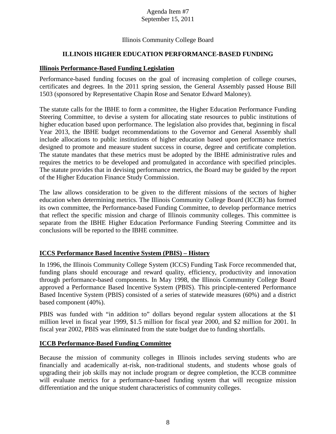#### Agenda Item #7 September 15, 2011

## Illinois Community College Board

# **ILLINOIS HIGHER EDUCATION PERFORMANCE-BASED FUNDING**

### **Illinois Performance-Based Funding Legislation**

Performance-based funding focuses on the goal of increasing completion of college courses, certificates and degrees. In the 2011 spring session, the General Assembly passed House Bill 1503 (sponsored by Representative Chapin Rose and Senator Edward Maloney).

The statute calls for the IBHE to form a committee, the [Higher Education Performance Funding](http://www.ibhe.org/PerformanceFunding/default.htm)  [Steering Committee,](http://www.ibhe.org/PerformanceFunding/default.htm) to devise a system for allocating state resources to public institutions of higher education based upon performance. The legislation also provides that, beginning in fiscal Year 2013, the IBHE budget recommendations to the Governor and General Assembly shall include allocations to public institutions of higher education based upon performance metrics designed to promote and measure student success in course, degree and certificate completion. The statute mandates that these metrics must be adopted by the IBHE administrative rules and requires the metrics to be developed and promulgated in accordance with specified principles. The statute provides that in devising performance metrics, the Board may be guided by the report of the Higher Education Finance Study Commission.

The law allows consideration to be given to the different missions of the sectors of higher education when determining metrics. The Illinois Community College Board (ICCB) has formed its own committee, the Performance-based Funding Committee, to develop performance metrics that reflect the specific mission and charge of Illinois community colleges. This committee is separate from the IBHE Higher Education Performance Funding Steering Committee and its conclusions will be reported to the IBHE committee.

## **ICCS Performance Based Incentive System (PBIS) – History**

In 1996, the Illinois Community College System (ICCS) Funding Task Force recommended that, funding plans should encourage and reward quality, efficiency, productivity and innovation through performance-based components. In May 1998, the Illinois Community College Board approved a Performance Based Incentive System (PBIS). This principle-centered Performance Based Incentive System (PBIS) consisted of a series of statewide measures (60%) and a district based component (40%).

PBIS was funded with "in addition to" dollars beyond regular system allocations at the \$1 million level in fiscal year 1999, \$1.5 million for fiscal year 2000, and \$2 million for 2001. In fiscal year 2002, PBIS was eliminated from the state budget due to funding shortfalls.

## **ICCB Performance-Based Funding Committee**

Because the mission of community colleges in Illinois includes serving students who are financially and academically at-risk, non-traditional students, and students whose goals of upgrading their job skills may not include program or degree completion, the ICCB committee will evaluate metrics for a performance-based funding system that will recognize mission differentiation and the unique student characteristics of community colleges.